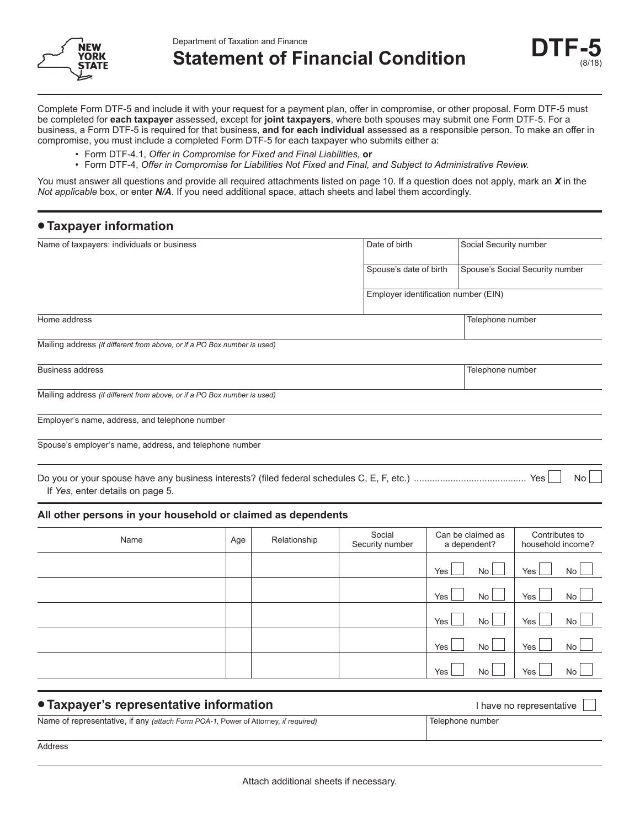



**Statement of Financial Condition** 



Complete Form DTF-5 and include it with your request for a payment plan, offer in compromise, or other proposal. Form DTF-5 must be completed for **each taxpayer** assessed, except for **joint taxpayers**, where both spouses may submit one Form DTF-5. For a business, a Form DTF-5 is required for that business, **and for each individual** assessed as a responsible person. To make an offer in compromise, you must include a completed Form DTF-5 for each taxpayer who submits either a:

- Form DTF-4.1, *Offer in Compromise for Fixed and Final Liabilities,* **or**
- Form DTF-4, *Offer in Compromise for Liabilities Not Fixed and Final, and Subject to Administrative Review.*

You must answer all questions and provide all required attachments listed on page 10. If a question does not apply, mark an *X* in the *Not applicable* box, or enter *N/A*. If you need additional space, attach sheets and label them accordingly.

| • Taxpayer information                                                   |     |              |                                      |     |                                   |                                     |  |
|--------------------------------------------------------------------------|-----|--------------|--------------------------------------|-----|-----------------------------------|-------------------------------------|--|
| Name of taxpayers: individuals or business                               |     |              | Date of birth                        |     | Social Security number            |                                     |  |
|                                                                          |     |              | Spouse's date of birth               |     |                                   | Spouse's Social Security number     |  |
|                                                                          |     |              | Employer identification number (EIN) |     |                                   |                                     |  |
| Home address                                                             |     |              |                                      |     | Telephone number                  |                                     |  |
| Mailing address (if different from above, or if a PO Box number is used) |     |              |                                      |     |                                   |                                     |  |
| <b>Business address</b>                                                  |     |              |                                      |     | Telephone number                  |                                     |  |
| Mailing address (if different from above, or if a PO Box number is used) |     |              |                                      |     |                                   |                                     |  |
| Employer's name, address, and telephone number                           |     |              |                                      |     |                                   |                                     |  |
| Spouse's employer's name, address, and telephone number                  |     |              |                                      |     |                                   |                                     |  |
| If Yes, enter details on page 5.                                         |     |              |                                      |     |                                   | <b>No</b>                           |  |
| All other persons in your household or claimed as dependents             |     |              |                                      |     |                                   |                                     |  |
| Name                                                                     | Age | Relationship | Social<br>Security number            |     | Can be claimed as<br>a dependent? | Contributes to<br>household income? |  |
|                                                                          |     |              |                                      | Yes | <b>No</b>                         | <b>No</b><br>Yes                    |  |
|                                                                          |     |              |                                      | Yes | <b>No</b>                         | No<br>Yes                           |  |
|                                                                          |     |              |                                      | Yes | No                                | Yes<br><b>No</b>                    |  |
|                                                                          |     |              |                                      | Yes | No                                | Yes<br>No                           |  |
|                                                                          |     |              |                                      | Yes | <b>No</b>                         | Yes<br><b>No</b>                    |  |
|                                                                          |     |              |                                      |     |                                   |                                     |  |

| • Taxpayer's representative information                                            | I have no representative |
|------------------------------------------------------------------------------------|--------------------------|
| Name of representative, if any (attach Form POA-1, Power of Attorney, if required) | Telephone number         |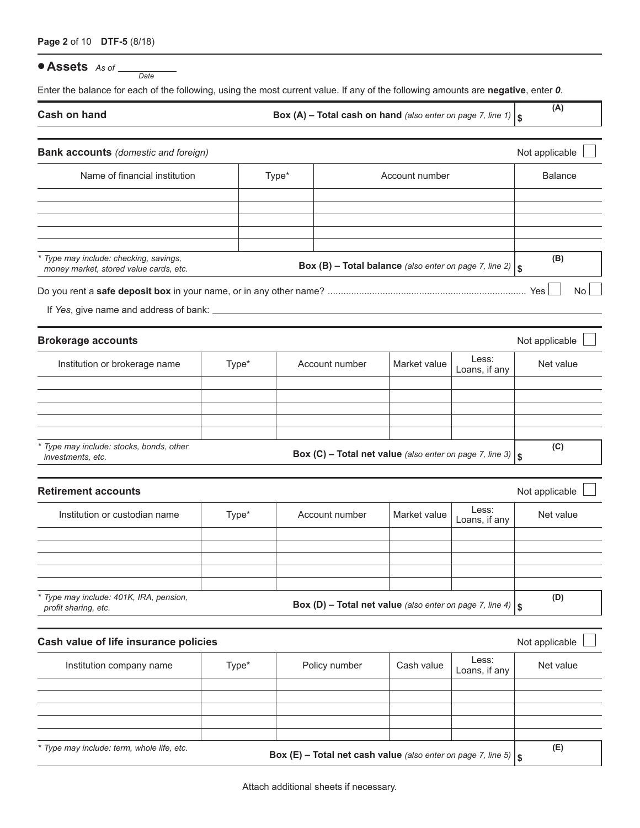#### **• Assets** *As of Date*

Enter the balance for each of the following, using the most current value. If any of the following amounts are **negative**, enter *0*.

**Cash on hand Box (A) – Total cash on hand** *(also enter on page 7, line 1)*  $\int$ 

**(A)**

| <b>Bank accounts</b> (domestic and foreign)                                      |  |       |       |                                                                      |                |                        | Not applicable |           |
|----------------------------------------------------------------------------------|--|-------|-------|----------------------------------------------------------------------|----------------|------------------------|----------------|-----------|
| Name of financial institution                                                    |  |       | Type* |                                                                      | Account number |                        | <b>Balance</b> |           |
|                                                                                  |  |       |       |                                                                      |                |                        |                |           |
|                                                                                  |  |       |       |                                                                      |                |                        |                |           |
|                                                                                  |  |       |       |                                                                      |                |                        |                |           |
| * Type may include: checking, savings,<br>money market, stored value cards, etc. |  |       |       | Box (B) - Total balance (also enter on page 7, line 2) $  \$         |                |                        | (B)            |           |
|                                                                                  |  |       |       |                                                                      |                |                        |                | <b>No</b> |
|                                                                                  |  |       |       |                                                                      |                |                        |                |           |
| <b>Brokerage accounts</b>                                                        |  |       |       |                                                                      |                |                        | Not applicable |           |
| Institution or brokerage name                                                    |  | Type* |       | Account number                                                       | Market value   | Less:<br>Loans, if any | Net value      |           |
|                                                                                  |  |       |       |                                                                      |                |                        |                |           |
|                                                                                  |  |       |       |                                                                      |                |                        |                |           |
|                                                                                  |  |       |       |                                                                      |                |                        |                |           |
| * Type may include: stocks, bonds, other<br>investments, etc.                    |  |       |       | Box (C) - Total net value (also enter on page 7, line 3) $ $ \$      |                |                        | (C)            |           |
| <b>Retirement accounts</b>                                                       |  |       |       |                                                                      |                |                        | Not applicable |           |
| Institution or custodian name                                                    |  | Type* |       | Account number                                                       | Market value   | Less:<br>Loans, if any | Net value      |           |
|                                                                                  |  |       |       |                                                                      |                |                        |                |           |
|                                                                                  |  |       |       |                                                                      |                |                        |                |           |
| Type may include: 401K, IRA, pension,<br>profit sharing, etc.                    |  |       |       | Box (D) - Total net value (also enter on page 7, line 4) $ $ \$      |                |                        | (D)            |           |
| Cash value of life insurance policies                                            |  |       |       |                                                                      |                |                        | Not applicable |           |
| Institution company name<br>Type*                                                |  |       |       | Policy number                                                        | Cash value     | Less:<br>Loans, if any | Net value      |           |
|                                                                                  |  |       |       |                                                                      |                |                        |                |           |
|                                                                                  |  |       |       |                                                                      |                |                        |                |           |
|                                                                                  |  |       |       |                                                                      |                |                        |                |           |
| * Type may include: term, whole life, etc.                                       |  |       |       | Box (E) - Total net cash value (also enter on page 7, line 5) $ $ \$ |                |                        | (E)            |           |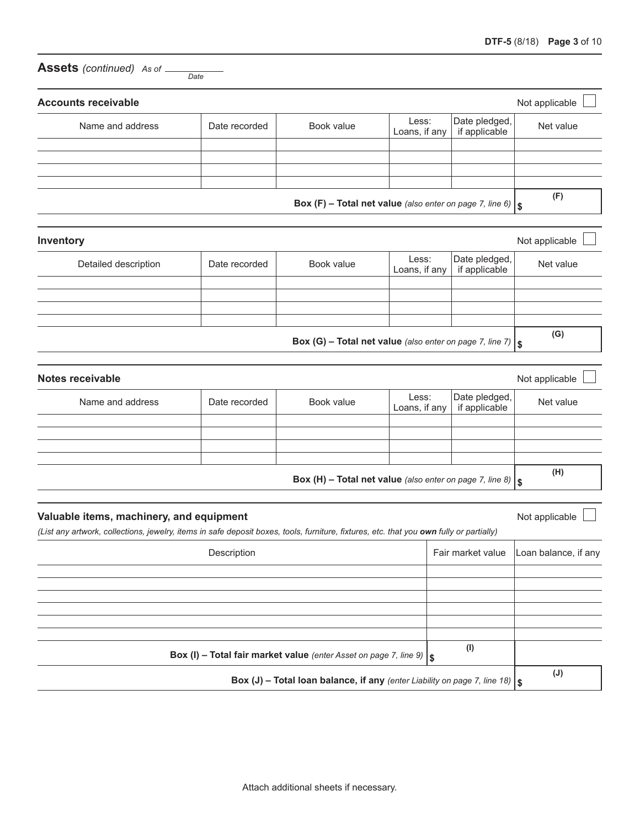| <b>Assets</b> (continued) As of _                                                                                                                                                   | Date          |                                                                                 |                        |                                |                      |
|-------------------------------------------------------------------------------------------------------------------------------------------------------------------------------------|---------------|---------------------------------------------------------------------------------|------------------------|--------------------------------|----------------------|
| <b>Accounts receivable</b>                                                                                                                                                          |               |                                                                                 |                        |                                | Not applicable       |
| Name and address                                                                                                                                                                    | Date recorded | Book value                                                                      | Less:<br>Loans, if any | Date pledged,<br>if applicable | Net value            |
|                                                                                                                                                                                     |               |                                                                                 |                        |                                |                      |
|                                                                                                                                                                                     |               | Box (F) - Total net value (also enter on page 7, line 6) $ $ \$                 |                        |                                | (F)                  |
| Inventory                                                                                                                                                                           |               |                                                                                 |                        |                                | Not applicable       |
| Detailed description                                                                                                                                                                | Date recorded | Book value                                                                      | Less:<br>Loans, if any | Date pledged,<br>if applicable | Net value            |
|                                                                                                                                                                                     |               |                                                                                 |                        |                                |                      |
|                                                                                                                                                                                     |               | Box (G) - Total net value (also enter on page 7, line 7) $ $ \$                 |                        |                                | (G)                  |
| <b>Notes receivable</b>                                                                                                                                                             |               |                                                                                 |                        |                                | Not applicable       |
| Name and address                                                                                                                                                                    | Date recorded | Book value                                                                      | Less:<br>Loans, if any | Date pledged,<br>if applicable | Net value            |
|                                                                                                                                                                                     |               |                                                                                 |                        |                                |                      |
|                                                                                                                                                                                     |               | Box (H) - Total net value (also enter on page 7, line 8) $  \$                  |                        |                                | (H)                  |
| Valuable items, machinery, and equipment<br>(List any artwork, collections, jewelry, items in safe deposit boxes, tools, furniture, fixtures, etc. that you own fully or partially) |               |                                                                                 |                        |                                | Not applicable       |
|                                                                                                                                                                                     | Description   |                                                                                 |                        | Fair market value              | Loan balance, if any |
|                                                                                                                                                                                     |               |                                                                                 |                        |                                |                      |
|                                                                                                                                                                                     |               |                                                                                 |                        |                                |                      |
|                                                                                                                                                                                     |               | Box (I) - Total fair market value (enter Asset on page 7, line 9) $  \$         |                        | (1)                            |                      |
|                                                                                                                                                                                     |               | Box (J) - Total loan balance, if any (enter Liability on page 7, line 18) $  \$ |                        |                                | $(\mathsf{J})$       |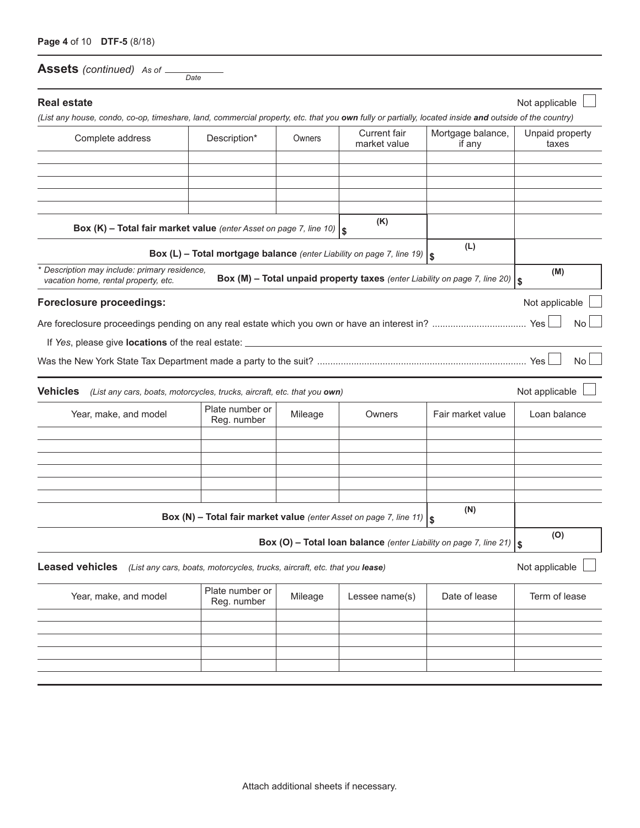**Assets** *(continued) As of Date*

| <b>Real estate</b><br>(List any house, condo, co-op, timeshare, land, commercial property, etc. that you own fully or partially, located inside and outside of the country) |                                                                            |         |                              |                                                                                   | Not applicable           |
|-----------------------------------------------------------------------------------------------------------------------------------------------------------------------------|----------------------------------------------------------------------------|---------|------------------------------|-----------------------------------------------------------------------------------|--------------------------|
| Complete address                                                                                                                                                            | Description*                                                               | Owners  | Current fair<br>market value | Mortgage balance,<br>if any                                                       | Unpaid property<br>taxes |
|                                                                                                                                                                             |                                                                            |         |                              |                                                                                   |                          |
|                                                                                                                                                                             |                                                                            |         |                              |                                                                                   |                          |
|                                                                                                                                                                             |                                                                            |         |                              |                                                                                   |                          |
| Box (K) - Total fair market value (enter Asset on page 7, line 10) $s$                                                                                                      |                                                                            |         | (K)                          |                                                                                   |                          |
|                                                                                                                                                                             | Box (L) - Total mortgage balance (enter Liability on page 7, line 19) $s$  |         |                              | (L)                                                                               |                          |
| * Description may include: primary residence,<br>vacation home, rental property, etc.                                                                                       |                                                                            |         |                              | Box (M) - Total unpaid property taxes (enter Liability on page 7, line 20) $  \S$ | (M)                      |
| <b>Foreclosure proceedings:</b>                                                                                                                                             |                                                                            |         |                              |                                                                                   | Not applicable           |
|                                                                                                                                                                             |                                                                            |         |                              |                                                                                   | No                       |
|                                                                                                                                                                             |                                                                            |         |                              |                                                                                   |                          |
|                                                                                                                                                                             |                                                                            |         |                              |                                                                                   | <b>No</b>                |
| <b>Vehicles</b><br>(List any cars, boats, motorcycles, trucks, aircraft, etc. that you own)                                                                                 |                                                                            |         |                              |                                                                                   | Not applicable           |
| Year, make, and model                                                                                                                                                       | Plate number or<br>Reg. number                                             | Mileage | Owners                       | Fair market value                                                                 | Loan balance             |
|                                                                                                                                                                             |                                                                            |         |                              |                                                                                   |                          |
|                                                                                                                                                                             |                                                                            |         |                              |                                                                                   |                          |
|                                                                                                                                                                             |                                                                            |         |                              |                                                                                   |                          |
|                                                                                                                                                                             |                                                                            |         |                              |                                                                                   |                          |
|                                                                                                                                                                             | Box (N) - Total fair market value (enter Asset on page 7, line 11) $s$     |         |                              | (N)                                                                               |                          |
|                                                                                                                                                                             |                                                                            |         |                              | Box (O) - Total loan balance (enter Liability on page 7, line 21) $\frac{1}{3}$   | (O)                      |
| <b>Leased vehicles</b>                                                                                                                                                      | (List any cars, boats, motorcycles, trucks, aircraft, etc. that you lease) |         |                              |                                                                                   | Not applicable           |
| Year, make, and model                                                                                                                                                       | Plate number or<br>Reg. number                                             | Mileage | Lessee name(s)               | Date of lease                                                                     | Term of lease            |
|                                                                                                                                                                             |                                                                            |         |                              |                                                                                   |                          |
|                                                                                                                                                                             |                                                                            |         |                              |                                                                                   |                          |
|                                                                                                                                                                             |                                                                            |         |                              |                                                                                   |                          |
|                                                                                                                                                                             |                                                                            |         |                              |                                                                                   |                          |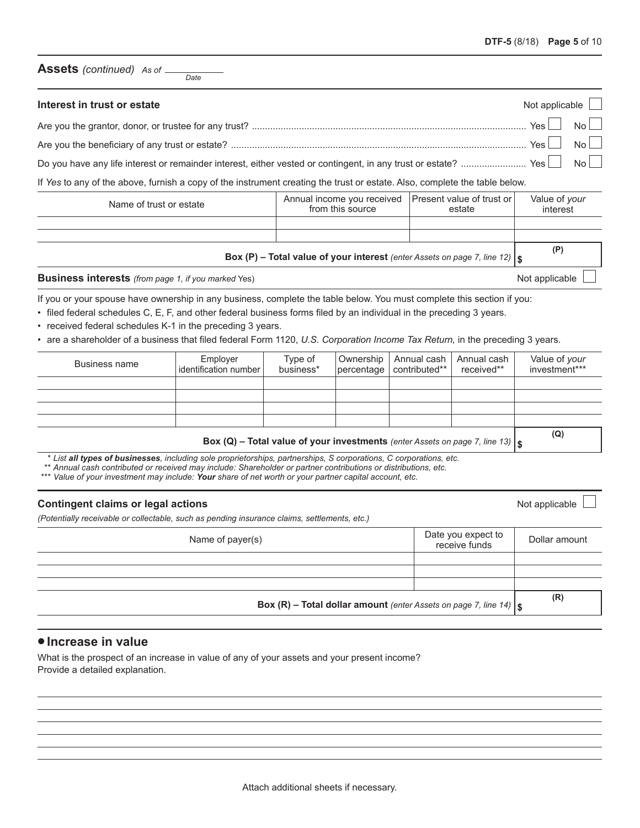#### **Assets** *(continued) As of*

| Interest in trust or estate                                                                                                     |                                                                            |        | Not applicable $\Box$     |                |  |
|---------------------------------------------------------------------------------------------------------------------------------|----------------------------------------------------------------------------|--------|---------------------------|----------------|--|
|                                                                                                                                 |                                                                            |        | Yes                       | N <sub>0</sub> |  |
|                                                                                                                                 |                                                                            |        |                           |                |  |
| Do you have any life interest or remainder interest, either vested or contingent, in any trust or estate?  Yes $\Box$ No $\Box$ |                                                                            |        |                           |                |  |
| If Yes to any of the above, furnish a copy of the instrument creating the trust or estate. Also, complete the table below.      |                                                                            |        |                           |                |  |
| Name of trust or estate                                                                                                         | Annual income you received   Present value of trust or<br>from this source | estate | Value of your<br>interest |                |  |

|                                                                                        | $\sim$ | .  |
|----------------------------------------------------------------------------------------|--------|----|
|                                                                                        |        |    |
|                                                                                        |        |    |
| <b>Box (P) – Total value of your interest</b> (enter Assets on page 7, line 12) $\int$ |        | (P |
|                                                                                        |        |    |

**Business interests** (from page 1, if you marked Yes) Not applicable Learning and the state of the state of the state of the state of the state of the state of the state of the state of the state of the state of the state

If you or your spouse have ownership in any business, complete the table below. You must complete this section if you:

• filed federal schedules C, E, F, and other federal business forms filed by an individual in the preceding 3 years.

- received federal schedules K-1 in the preceding 3 years.
- • are a shareholder of a business that filed federal Form 1120, *U.S. Corporation Income Tax Return,* in the preceding 3 years.

| Business name | Employer<br>identification number | Type of<br>business* |  | Ownership   Annual cash   Annual cash<br>$ percentage $ contributed** | received** | Value of your<br>investment*** |
|---------------|-----------------------------------|----------------------|--|-----------------------------------------------------------------------|------------|--------------------------------|
|               |                                   |                      |  |                                                                       |            |                                |
|               |                                   |                      |  |                                                                       |            |                                |
|               |                                   |                      |  |                                                                       |            |                                |
|               |                                   |                      |  |                                                                       |            |                                |
|               |                                   |                      |  |                                                                       |            | (Q)                            |

Box (Q) - Total value of your investments (enter Assets on page 7, line 13)  $\vert$  \$

*\* List all types of businesses, including sole proprietorships, partnerships, S corporations, C corporations, etc.*

*\*\* Annual cash contributed or received may include: Shareholder or partner contributions or distributions, etc.*

*\*\*\* Value of your investment may include: Your share of net worth or your partner capital account, etc.*

#### **Contingent claims or legal actions**  $\blacksquare$

*(Potentially receivable or collectable, such as pending insurance claims, settlements, etc.)*

| Name of payer(s)                                                                  | Date you expect to<br>receive funds | Dollar amount |
|-----------------------------------------------------------------------------------|-------------------------------------|---------------|
|                                                                                   |                                     |               |
|                                                                                   |                                     |               |
|                                                                                   |                                     |               |
| <b>Box (R) - Total dollar amount</b> (enter Assets on page 7, line 14) $\vert$ \$ | (R)                                 |               |

#### **•Increase in value**

What is the prospect of an increase in value of any of your assets and your present income? Provide a detailed explanation.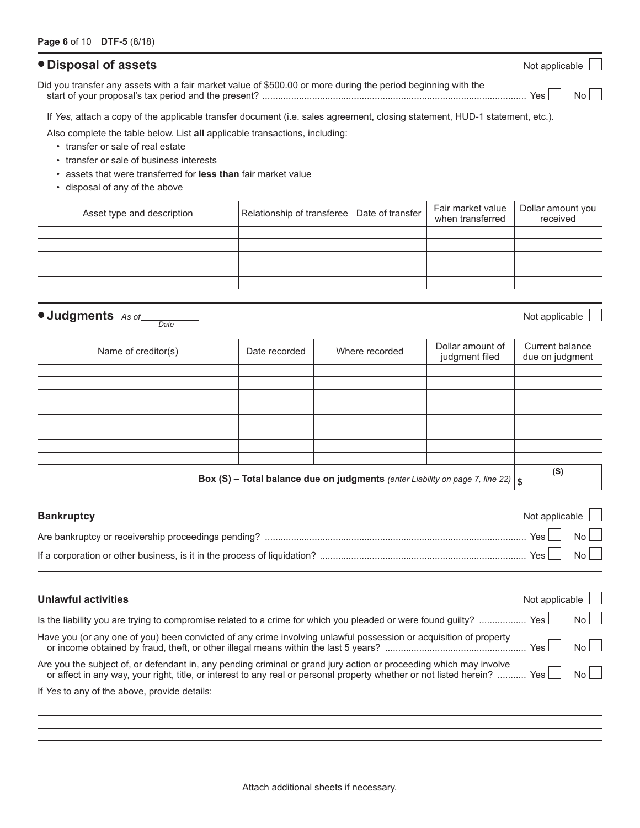## **• Disposal of assets** Not applicable

Did you transfer any assets with a fair market value of \$500.00 or more during the period beginning with the start of your proposal's tax period and the present? ..................................................................................................... Yes No

If *Yes*, attach a copy of the applicable transfer document (i.e. sales agreement, closing statement, HUD-1 statement, etc.).

Also complete the table below. List **all** applicable transactions, including:

- transfer or sale of real estate
- transfer or sale of business interests
- assets that were transferred for **less than** fair market value
- disposal of any of the above

Asset type and description Relationship of transferee Dollar amount you received Fair market value when transferred Date of transfer

**• Judgments** *As of Date*

Not applicable

| Name of creditor(s)                                                                  | Date recorded | Where recorded | Dollar amount of<br>judgment filed | Current balance<br>due on judgment |
|--------------------------------------------------------------------------------------|---------------|----------------|------------------------------------|------------------------------------|
|                                                                                      |               |                |                                    |                                    |
|                                                                                      |               |                |                                    |                                    |
|                                                                                      |               |                |                                    |                                    |
|                                                                                      |               |                |                                    |                                    |
|                                                                                      |               |                |                                    |                                    |
|                                                                                      |               |                |                                    |                                    |
|                                                                                      |               |                |                                    |                                    |
|                                                                                      |               |                |                                    |                                    |
| Box (S) - Total balance due on judgments (enter Liability on page 7, line 22) $ $ \$ |               |                |                                    | (S)                                |

| <b>Bankruptcy</b> | Not applicable $\Box$ |  |
|-------------------|-----------------------|--|
|                   | $\cdot$ Yes No        |  |
|                   |                       |  |

| <b>Unlawful activities</b>                                                                                                                                                                                                                          | Not applicable |                |
|-----------------------------------------------------------------------------------------------------------------------------------------------------------------------------------------------------------------------------------------------------|----------------|----------------|
| Is the liability you are trying to compromise related to a crime for which you pleaded or were found guilty?  Yes $\Box$ No $\Box$                                                                                                                  |                |                |
| Have you (or any one of you) been convicted of any crime involving unlawful possession or acquisition of property                                                                                                                                   | $Yes$ $\Box$   | N <sub>0</sub> |
| Are you the subject of, or defendant in, any pending criminal or grand jury action or proceeding which may involve<br>or affect in any way, your right, title, or interest to any real or personal property whether or not listed herein?  Yes   No |                |                |
| If Yes to any of the above, provide details:                                                                                                                                                                                                        |                |                |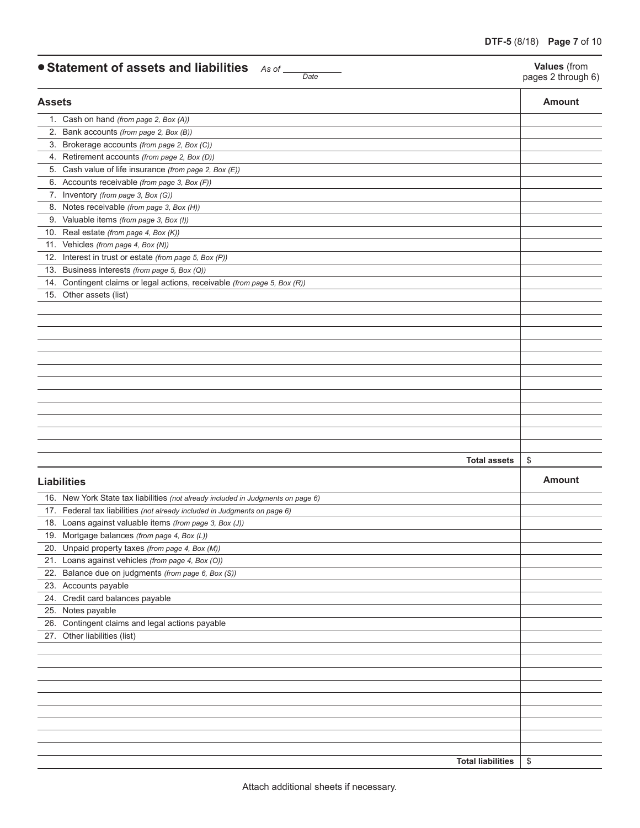| • Statement of assets and liabilities As of | Date |  |
|---------------------------------------------|------|--|
|---------------------------------------------|------|--|

**Values** (from pages 2 through 6)

| <b>Assets</b> |                                                                                  | <b>Amount</b> |
|---------------|----------------------------------------------------------------------------------|---------------|
|               | 1. Cash on hand (from page 2, Box (A))                                           |               |
| 2.            | Bank accounts (from page 2, Box (B))                                             |               |
|               | 3. Brokerage accounts (from page 2, Box (C))                                     |               |
|               | 4. Retirement accounts (from page 2, Box (D))                                    |               |
| 5.            | Cash value of life insurance (from page 2, Box (E))                              |               |
|               | 6. Accounts receivable (from page 3, Box (F))                                    |               |
|               | 7. Inventory (from page 3, Box (G))                                              |               |
|               | 8. Notes receivable (from page 3, Box (H))                                       |               |
|               | 9. Valuable items (from page 3, Box (I))                                         |               |
| 10.           | Real estate (from page 4, Box (K))                                               |               |
|               | 11. Vehicles (from page 4, Box (N))                                              |               |
| 12.           | Interest in trust or estate (from page 5, Box (P))                               |               |
| 13.           | Business interests (from page 5, Box (Q))                                        |               |
| 14.           | Contingent claims or legal actions, receivable (from page 5, Box (R))            |               |
| 15.           | Other assets (list)                                                              |               |
|               |                                                                                  |               |
|               |                                                                                  |               |
|               |                                                                                  |               |
|               |                                                                                  |               |
|               |                                                                                  |               |
|               |                                                                                  |               |
|               |                                                                                  |               |
|               |                                                                                  |               |
|               |                                                                                  |               |
|               |                                                                                  |               |
|               |                                                                                  |               |
|               |                                                                                  |               |
|               | <b>Total assets</b>                                                              | \$            |
|               | <b>Liabilities</b>                                                               | <b>Amount</b> |
|               |                                                                                  |               |
|               | 16. New York State tax liabilities (not already included in Judgments on page 6) |               |
|               | 17. Federal tax liabilities (not already included in Judgments on page 6)        |               |
|               | 18. Loans against valuable items (from page 3, Box (J))                          |               |
|               | 19. Mortgage balances (from page 4, Box (L))                                     |               |
|               | 20. Unpaid property taxes (from page 4, Box (M))                                 |               |
|               | 21. Loans against vehicles (from page 4, Box (O))                                |               |
|               | 22. Balance due on judgments (from page 6, Box (S))                              |               |
|               | 23. Accounts payable                                                             |               |
|               | 24. Credit card balances payable                                                 |               |
|               | 25. Notes payable                                                                |               |
|               | 26. Contingent claims and legal actions payable                                  |               |
|               | 27. Other liabilities (list)                                                     |               |
|               |                                                                                  |               |
|               |                                                                                  |               |
|               |                                                                                  |               |
|               |                                                                                  |               |
|               |                                                                                  |               |
|               |                                                                                  |               |
|               |                                                                                  |               |
|               |                                                                                  |               |
|               |                                                                                  |               |
|               | <b>Total liabilities</b>                                                         | \$            |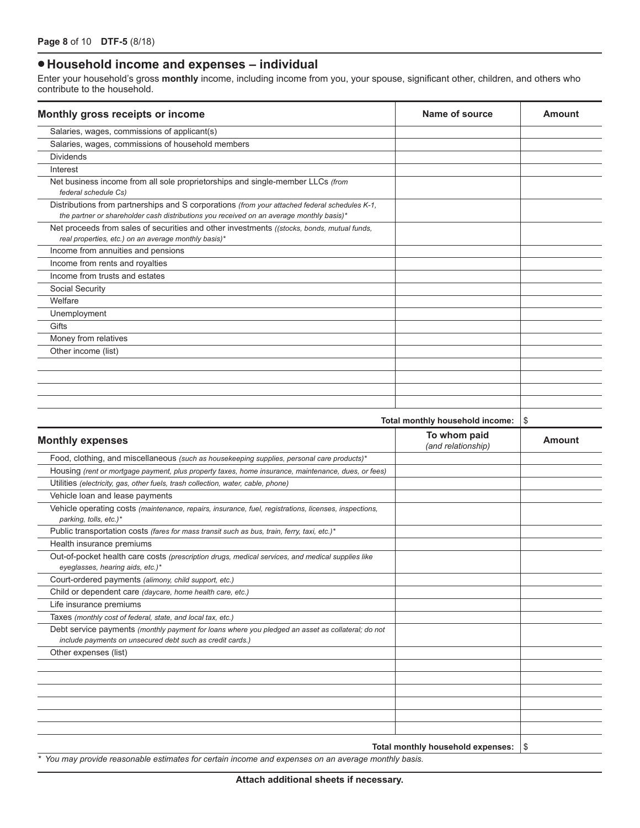# **• Household income and expenses – individual**

Enter your household's gross **monthly** income, including income from you, your spouse, significant other, children, and others who contribute to the household.

| Monthly gross receipts or income                                                                                                                                                          | Name of source                     | <b>Amount</b> |
|-------------------------------------------------------------------------------------------------------------------------------------------------------------------------------------------|------------------------------------|---------------|
| Salaries, wages, commissions of applicant(s)                                                                                                                                              |                                    |               |
| Salaries, wages, commissions of household members                                                                                                                                         |                                    |               |
| <b>Dividends</b>                                                                                                                                                                          |                                    |               |
| Interest                                                                                                                                                                                  |                                    |               |
| Net business income from all sole proprietorships and single-member LLCs (from<br>federal schedule Cs)                                                                                    |                                    |               |
| Distributions from partnerships and S corporations (from your attached federal schedules K-1,<br>the partner or shareholder cash distributions you received on an average monthly basis)* |                                    |               |
| Net proceeds from sales of securities and other investments ((stocks, bonds, mutual funds,<br>real properties, etc.) on an average monthly basis)*                                        |                                    |               |
| Income from annuities and pensions                                                                                                                                                        |                                    |               |
| Income from rents and royalties                                                                                                                                                           |                                    |               |
| Income from trusts and estates                                                                                                                                                            |                                    |               |
| Social Security                                                                                                                                                                           |                                    |               |
| Welfare                                                                                                                                                                                   |                                    |               |
| Unemployment                                                                                                                                                                              |                                    |               |
| Gifts                                                                                                                                                                                     |                                    |               |
| Money from relatives                                                                                                                                                                      |                                    |               |
| Other income (list)                                                                                                                                                                       |                                    |               |
|                                                                                                                                                                                           |                                    |               |
|                                                                                                                                                                                           |                                    |               |
|                                                                                                                                                                                           |                                    |               |
|                                                                                                                                                                                           |                                    |               |
|                                                                                                                                                                                           | Total monthly household income:    | \$            |
| <b>Monthly expenses</b>                                                                                                                                                                   | To whom paid<br>(and relationship) | <b>Amount</b> |
| Food, clothing, and miscellaneous (such as housekeeping supplies, personal care products)*                                                                                                |                                    |               |
| Housing (rent or mortgage payment, plus property taxes, home insurance, maintenance, dues, or fees)                                                                                       |                                    |               |
| Utilities (electricity, gas, other fuels, trash collection, water, cable, phone)                                                                                                          |                                    |               |
| Vehicle loan and lease payments                                                                                                                                                           |                                    |               |
| Vehicle operating costs (maintenance, repairs, insurance, fuel, registrations, licenses, inspections,<br>parking, tolls, etc.)*                                                           |                                    |               |
| Public transportation costs (fares for mass transit such as bus, train, ferry, taxi, etc.)*                                                                                               |                                    |               |
| Health insurance premiums                                                                                                                                                                 |                                    |               |
| Out-of-pocket health care costs (prescription drugs, medical services, and medical supplies like<br>eyeglasses, hearing aids, etc.)*                                                      |                                    |               |
| Court-ordered payments (alimony, child support, etc.)                                                                                                                                     |                                    |               |
| Child or dependent care (daycare, home health care, etc.)                                                                                                                                 |                                    |               |
| Life insurance premiums                                                                                                                                                                   |                                    |               |
| Taxes (monthly cost of federal, state, and local tax, etc.)                                                                                                                               |                                    |               |
| Debt service payments (monthly payment for loans where you pledged an asset as collateral; do not<br>include payments on unsecured debt such as credit cards.)                            |                                    |               |
| Other expenses (list)                                                                                                                                                                     |                                    |               |
|                                                                                                                                                                                           |                                    |               |
|                                                                                                                                                                                           |                                    |               |
|                                                                                                                                                                                           |                                    |               |
|                                                                                                                                                                                           |                                    |               |
|                                                                                                                                                                                           |                                    |               |
|                                                                                                                                                                                           |                                    |               |
|                                                                                                                                                                                           | Total monthly household expenses:  | \$            |
|                                                                                                                                                                                           |                                    |               |

*\* You may provide reasonable estimates for certain income and expenses on an average monthly basis.*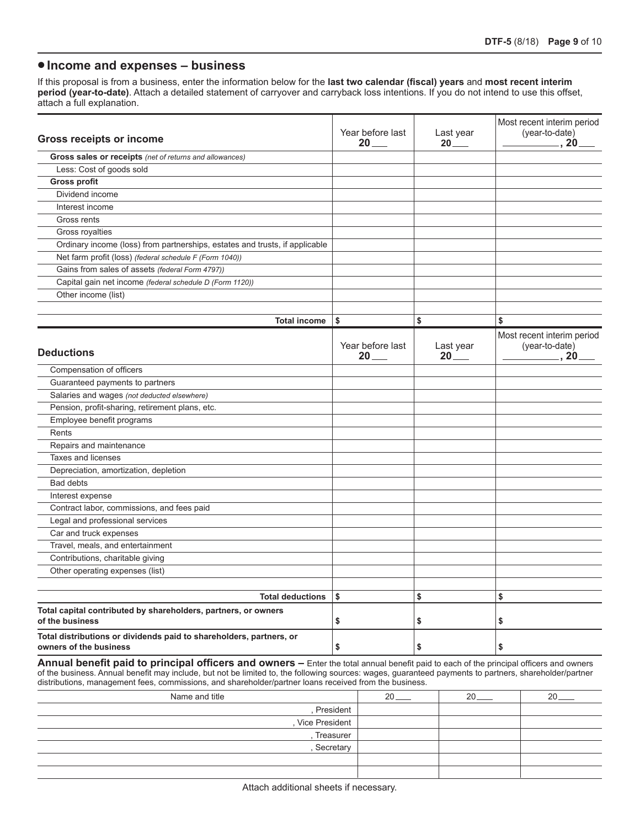## **•Income and expenses – business**

If this proposal is from a business, enter the information below for the **last two calendar (fiscal) years** and **most recent interim period (year-to-date)**. Attach a detailed statement of carryover and carryback loss intentions. If you do not intend to use this offset, attach a full explanation.

| <b>Gross receipts or income</b>                                                               | Year before last<br>$20$ $-$ | Last year<br>$20$ <sub>——</sub> | Most recent interim period<br>(year-to-date)<br>$_{\text{-}}$ , 20 $_{\text{-}}$ |
|-----------------------------------------------------------------------------------------------|------------------------------|---------------------------------|----------------------------------------------------------------------------------|
| Gross sales or receipts (net of returns and allowances)                                       |                              |                                 |                                                                                  |
| Less: Cost of goods sold                                                                      |                              |                                 |                                                                                  |
| <b>Gross profit</b>                                                                           |                              |                                 |                                                                                  |
| Dividend income                                                                               |                              |                                 |                                                                                  |
| Interest income                                                                               |                              |                                 |                                                                                  |
| Gross rents                                                                                   |                              |                                 |                                                                                  |
| Gross royalties                                                                               |                              |                                 |                                                                                  |
| Ordinary income (loss) from partnerships, estates and trusts, if applicable                   |                              |                                 |                                                                                  |
| Net farm profit (loss) (federal schedule F (Form 1040))                                       |                              |                                 |                                                                                  |
| Gains from sales of assets (federal Form 4797))                                               |                              |                                 |                                                                                  |
| Capital gain net income (federal schedule D (Form 1120))                                      |                              |                                 |                                                                                  |
| Other income (list)                                                                           |                              |                                 |                                                                                  |
|                                                                                               |                              |                                 |                                                                                  |
| <b>Total income</b>                                                                           | \$                           | \$                              | \$                                                                               |
|                                                                                               |                              |                                 | Most recent interim period                                                       |
| <b>Deductions</b>                                                                             | Year before last<br>$20$ $-$ | Last year<br>$20$ $-$           | (year-to-date)<br>$_{-}$ , 20 $_{-}$                                             |
| Compensation of officers                                                                      |                              |                                 |                                                                                  |
| Guaranteed payments to partners                                                               |                              |                                 |                                                                                  |
| Salaries and wages (not deducted elsewhere)                                                   |                              |                                 |                                                                                  |
| Pension, profit-sharing, retirement plans, etc.                                               |                              |                                 |                                                                                  |
| Employee benefit programs                                                                     |                              |                                 |                                                                                  |
| Rents                                                                                         |                              |                                 |                                                                                  |
| Repairs and maintenance                                                                       |                              |                                 |                                                                                  |
| <b>Taxes and licenses</b>                                                                     |                              |                                 |                                                                                  |
| Depreciation, amortization, depletion                                                         |                              |                                 |                                                                                  |
| Bad debts                                                                                     |                              |                                 |                                                                                  |
| Interest expense                                                                              |                              |                                 |                                                                                  |
| Contract labor, commissions, and fees paid                                                    |                              |                                 |                                                                                  |
| Legal and professional services                                                               |                              |                                 |                                                                                  |
| Car and truck expenses                                                                        |                              |                                 |                                                                                  |
| Travel, meals, and entertainment                                                              |                              |                                 |                                                                                  |
| Contributions, charitable giving                                                              |                              |                                 |                                                                                  |
| Other operating expenses (list)                                                               |                              |                                 |                                                                                  |
|                                                                                               |                              |                                 |                                                                                  |
| <b>Total deductions</b>                                                                       | \$                           | \$                              | \$                                                                               |
| Total capital contributed by shareholders, partners, or owners<br>of the business             | \$                           | \$                              | \$                                                                               |
| Total distributions or dividends paid to shareholders, partners, or<br>owners of the business | \$                           | \$                              | \$                                                                               |

**Annual benefit paid to principal officers and owners –** Enter the total annual benefit paid to each of the principal officers and owners of the business. Annual benefit may include, but not be limited to, the following sources: wages, guaranteed payments to partners, shareholder/partner distributions, management fees, commissions, and shareholder/partner loans received from the business.

| Name and title | o<br>∠៶ | റ | ററ |
|----------------|---------|---|----|
| , President    |         |   |    |
| Vice President |         |   |    |
| Treasurer      |         |   |    |
| Secretary      |         |   |    |
|                |         |   |    |
|                |         |   |    |